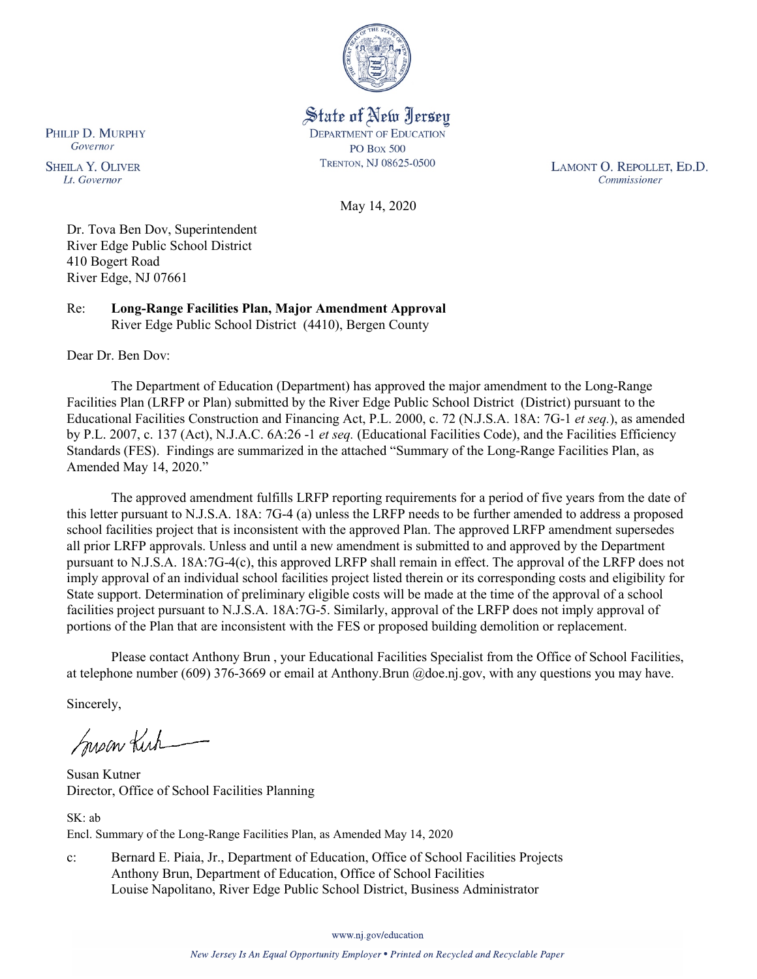

State of New Jersey **DEPARTMENT OF EDUCATION PO Box 500** TRENTON, NJ 08625-0500

LAMONT O. REPOLLET, ED.D. Commissioner

May 14, 2020

Dr. Tova Ben Dov, Superintendent River Edge Public School District 410 Bogert Road River Edge, NJ 07661

Re: **Long-Range Facilities Plan, Major Amendment Approval** River Edge Public School District (4410), Bergen County

Dear Dr. Ben Dov:

The Department of Education (Department) has approved the major amendment to the Long-Range Facilities Plan (LRFP or Plan) submitted by the River Edge Public School District (District) pursuant to the Educational Facilities Construction and Financing Act, P.L. 2000, c. 72 (N.J.S.A. 18A: 7G-1 *et seq.*), as amended by P.L. 2007, c. 137 (Act), N.J.A.C. 6A:26 -1 *et seq.* (Educational Facilities Code), and the Facilities Efficiency Standards (FES). Findings are summarized in the attached "Summary of the Long-Range Facilities Plan, as Amended May 14, 2020."

The approved amendment fulfills LRFP reporting requirements for a period of five years from the date of this letter pursuant to N.J.S.A. 18A: 7G-4 (a) unless the LRFP needs to be further amended to address a proposed school facilities project that is inconsistent with the approved Plan. The approved LRFP amendment supersedes all prior LRFP approvals. Unless and until a new amendment is submitted to and approved by the Department pursuant to N.J.S.A. 18A:7G-4(c), this approved LRFP shall remain in effect. The approval of the LRFP does not imply approval of an individual school facilities project listed therein or its corresponding costs and eligibility for State support. Determination of preliminary eligible costs will be made at the time of the approval of a school facilities project pursuant to N.J.S.A. 18A:7G-5. Similarly, approval of the LRFP does not imply approval of portions of the Plan that are inconsistent with the FES or proposed building demolition or replacement.

Please contact Anthony Brun , your Educational Facilities Specialist from the Office of School Facilities, at telephone number (609) 376-3669 or email at Anthony.Brun @doe.nj.gov, with any questions you may have.

Sincerely,

Susan Kich

Susan Kutner Director, Office of School Facilities Planning

SK: ab Encl. Summary of the Long-Range Facilities Plan, as Amended May 14, 2020

c: Bernard E. Piaia, Jr., Department of Education, Office of School Facilities Projects Anthony Brun, Department of Education, Office of School Facilities Louise Napolitano, River Edge Public School District, Business Administrator

www.nj.gov/education

PHILIP D. MURPHY Governor

**SHEILA Y. OLIVER** Lt. Governor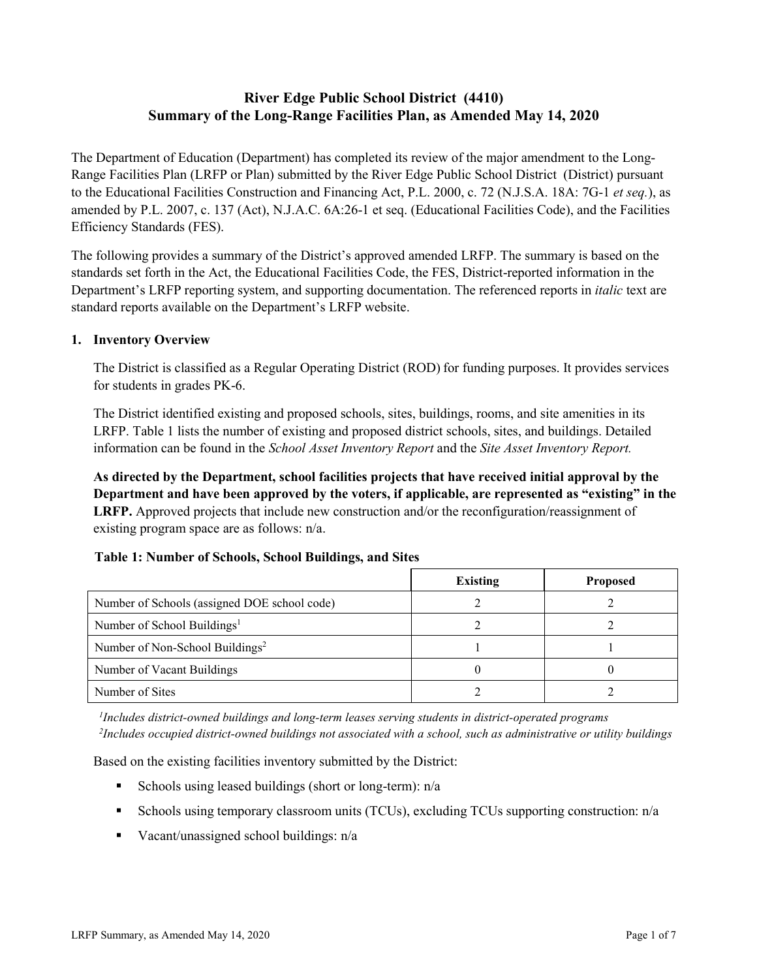# **River Edge Public School District (4410) Summary of the Long-Range Facilities Plan, as Amended May 14, 2020**

The Department of Education (Department) has completed its review of the major amendment to the Long-Range Facilities Plan (LRFP or Plan) submitted by the River Edge Public School District (District) pursuant to the Educational Facilities Construction and Financing Act, P.L. 2000, c. 72 (N.J.S.A. 18A: 7G-1 *et seq.*), as amended by P.L. 2007, c. 137 (Act), N.J.A.C. 6A:26-1 et seq. (Educational Facilities Code), and the Facilities Efficiency Standards (FES).

The following provides a summary of the District's approved amended LRFP. The summary is based on the standards set forth in the Act, the Educational Facilities Code, the FES, District-reported information in the Department's LRFP reporting system, and supporting documentation. The referenced reports in *italic* text are standard reports available on the Department's LRFP website.

### **1. Inventory Overview**

The District is classified as a Regular Operating District (ROD) for funding purposes. It provides services for students in grades PK-6.

The District identified existing and proposed schools, sites, buildings, rooms, and site amenities in its LRFP. Table 1 lists the number of existing and proposed district schools, sites, and buildings. Detailed information can be found in the *School Asset Inventory Report* and the *Site Asset Inventory Report.*

**As directed by the Department, school facilities projects that have received initial approval by the Department and have been approved by the voters, if applicable, are represented as "existing" in the LRFP.** Approved projects that include new construction and/or the reconfiguration/reassignment of existing program space are as follows: n/a.

|  |  | Table 1: Number of Schools, School Buildings, and Sites |  |
|--|--|---------------------------------------------------------|--|
|--|--|---------------------------------------------------------|--|

|                                              | <b>Existing</b> | <b>Proposed</b> |
|----------------------------------------------|-----------------|-----------------|
| Number of Schools (assigned DOE school code) |                 |                 |
| Number of School Buildings <sup>1</sup>      |                 |                 |
| Number of Non-School Buildings <sup>2</sup>  |                 |                 |
| Number of Vacant Buildings                   |                 |                 |
| Number of Sites                              |                 |                 |

*1 Includes district-owned buildings and long-term leases serving students in district-operated programs 2 Includes occupied district-owned buildings not associated with a school, such as administrative or utility buildings*

Based on the existing facilities inventory submitted by the District:

- Schools using leased buildings (short or long-term):  $n/a$
- Schools using temporary classroom units (TCUs), excluding TCUs supporting construction: n/a
- Vacant/unassigned school buildings:  $n/a$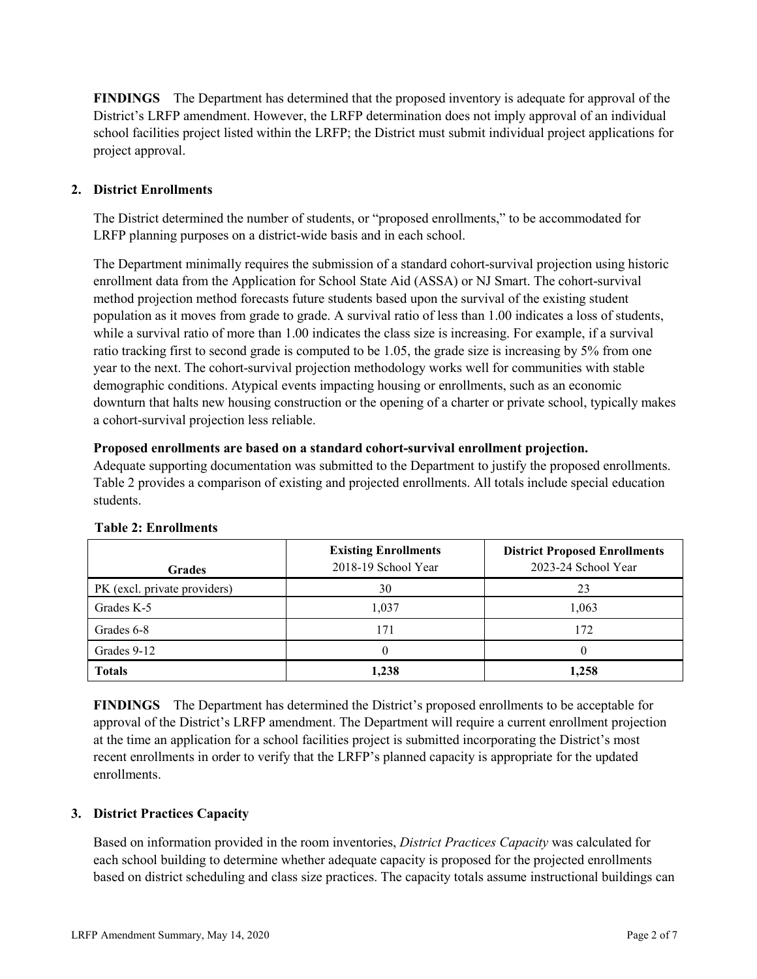**FINDINGS** The Department has determined that the proposed inventory is adequate for approval of the District's LRFP amendment. However, the LRFP determination does not imply approval of an individual school facilities project listed within the LRFP; the District must submit individual project applications for project approval.

# **2. District Enrollments**

The District determined the number of students, or "proposed enrollments," to be accommodated for LRFP planning purposes on a district-wide basis and in each school.

The Department minimally requires the submission of a standard cohort-survival projection using historic enrollment data from the Application for School State Aid (ASSA) or NJ Smart. The cohort-survival method projection method forecasts future students based upon the survival of the existing student population as it moves from grade to grade. A survival ratio of less than 1.00 indicates a loss of students, while a survival ratio of more than 1.00 indicates the class size is increasing. For example, if a survival ratio tracking first to second grade is computed to be 1.05, the grade size is increasing by 5% from one year to the next. The cohort-survival projection methodology works well for communities with stable demographic conditions. Atypical events impacting housing or enrollments, such as an economic downturn that halts new housing construction or the opening of a charter or private school, typically makes a cohort-survival projection less reliable.

#### **Proposed enrollments are based on a standard cohort-survival enrollment projection.**

Adequate supporting documentation was submitted to the Department to justify the proposed enrollments. Table 2 provides a comparison of existing and projected enrollments. All totals include special education students.

| <b>Grades</b>                | <b>Existing Enrollments</b><br>2018-19 School Year | <b>District Proposed Enrollments</b><br>2023-24 School Year |
|------------------------------|----------------------------------------------------|-------------------------------------------------------------|
| PK (excl. private providers) | 30                                                 | 23                                                          |
| Grades K-5                   | 1,037                                              | 1,063                                                       |
| Grades 6-8                   | 171                                                | 172                                                         |
| Grades 9-12                  |                                                    |                                                             |
| <b>Totals</b>                | 1,238                                              | 1,258                                                       |

#### **Table 2: Enrollments**

**FINDINGS** The Department has determined the District's proposed enrollments to be acceptable for approval of the District's LRFP amendment. The Department will require a current enrollment projection at the time an application for a school facilities project is submitted incorporating the District's most recent enrollments in order to verify that the LRFP's planned capacity is appropriate for the updated enrollments.

#### **3. District Practices Capacity**

Based on information provided in the room inventories, *District Practices Capacity* was calculated for each school building to determine whether adequate capacity is proposed for the projected enrollments based on district scheduling and class size practices. The capacity totals assume instructional buildings can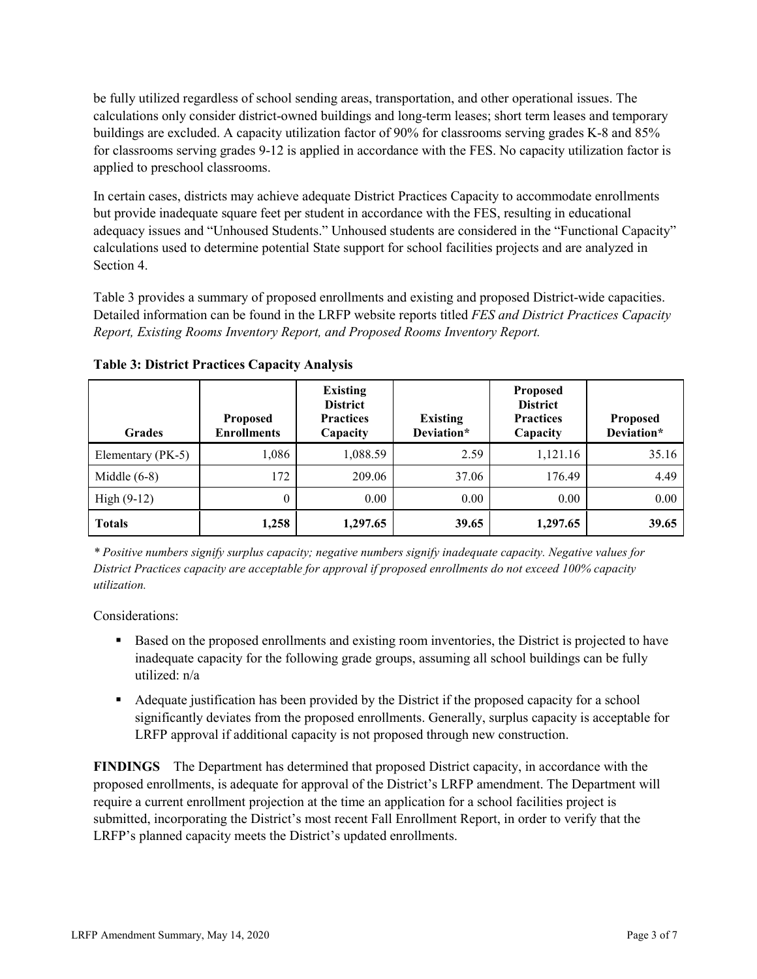be fully utilized regardless of school sending areas, transportation, and other operational issues. The calculations only consider district-owned buildings and long-term leases; short term leases and temporary buildings are excluded. A capacity utilization factor of 90% for classrooms serving grades K-8 and 85% for classrooms serving grades 9-12 is applied in accordance with the FES. No capacity utilization factor is applied to preschool classrooms.

In certain cases, districts may achieve adequate District Practices Capacity to accommodate enrollments but provide inadequate square feet per student in accordance with the FES, resulting in educational adequacy issues and "Unhoused Students." Unhoused students are considered in the "Functional Capacity" calculations used to determine potential State support for school facilities projects and are analyzed in Section 4.

Table 3 provides a summary of proposed enrollments and existing and proposed District-wide capacities. Detailed information can be found in the LRFP website reports titled *FES and District Practices Capacity Report, Existing Rooms Inventory Report, and Proposed Rooms Inventory Report.*

| <b>Grades</b>     | <b>Proposed</b><br><b>Enrollments</b> | <b>Existing</b><br><b>District</b><br><b>Practices</b><br>Capacity | <b>Existing</b><br>Deviation* | <b>Proposed</b><br><b>District</b><br><b>Practices</b><br>Capacity | <b>Proposed</b><br>Deviation* |
|-------------------|---------------------------------------|--------------------------------------------------------------------|-------------------------------|--------------------------------------------------------------------|-------------------------------|
| Elementary (PK-5) | 1,086                                 | 1,088.59                                                           | 2.59                          | 1,121.16                                                           | 35.16                         |
| Middle $(6-8)$    | 172                                   | 209.06                                                             | 37.06                         | 176.49                                                             | 4.49                          |
| High $(9-12)$     | $\theta$                              | 0.00                                                               | 0.00                          | 0.00                                                               | 0.00                          |
| <b>Totals</b>     | 1,258                                 | 1,297.65                                                           | 39.65                         | 1,297.65                                                           | 39.65                         |

**Table 3: District Practices Capacity Analysis**

*\* Positive numbers signify surplus capacity; negative numbers signify inadequate capacity. Negative values for District Practices capacity are acceptable for approval if proposed enrollments do not exceed 100% capacity utilization.*

Considerations:

- **Based on the proposed enrollments and existing room inventories, the District is projected to have** inadequate capacity for the following grade groups, assuming all school buildings can be fully utilized: n/a
- Adequate justification has been provided by the District if the proposed capacity for a school significantly deviates from the proposed enrollments. Generally, surplus capacity is acceptable for LRFP approval if additional capacity is not proposed through new construction.

**FINDINGS**The Department has determined that proposed District capacity, in accordance with the proposed enrollments, is adequate for approval of the District's LRFP amendment. The Department will require a current enrollment projection at the time an application for a school facilities project is submitted, incorporating the District's most recent Fall Enrollment Report, in order to verify that the LRFP's planned capacity meets the District's updated enrollments.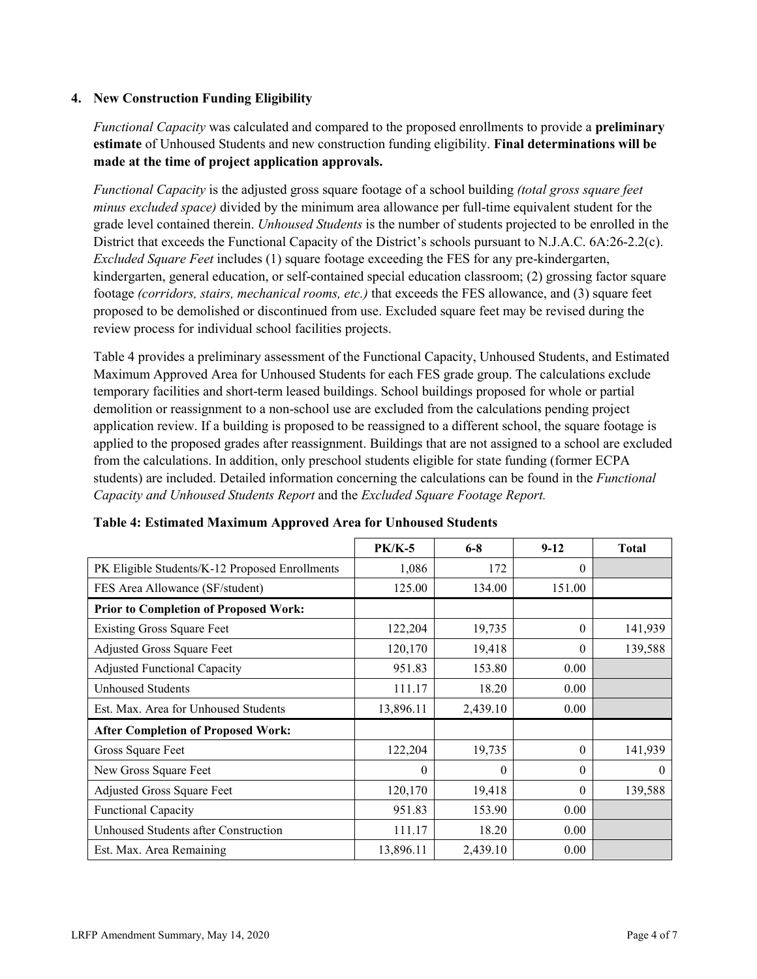### **4. New Construction Funding Eligibility**

*Functional Capacity* was calculated and compared to the proposed enrollments to provide a **preliminary estimate** of Unhoused Students and new construction funding eligibility. **Final determinations will be made at the time of project application approvals.**

*Functional Capacity* is the adjusted gross square footage of a school building *(total gross square feet minus excluded space)* divided by the minimum area allowance per full-time equivalent student for the grade level contained therein. *Unhoused Students* is the number of students projected to be enrolled in the District that exceeds the Functional Capacity of the District's schools pursuant to N.J.A.C. 6A:26-2.2(c). *Excluded Square Feet* includes (1) square footage exceeding the FES for any pre-kindergarten, kindergarten, general education, or self-contained special education classroom; (2) grossing factor square footage *(corridors, stairs, mechanical rooms, etc.)* that exceeds the FES allowance, and (3) square feet proposed to be demolished or discontinued from use. Excluded square feet may be revised during the review process for individual school facilities projects.

Table 4 provides a preliminary assessment of the Functional Capacity, Unhoused Students, and Estimated Maximum Approved Area for Unhoused Students for each FES grade group. The calculations exclude temporary facilities and short-term leased buildings. School buildings proposed for whole or partial demolition or reassignment to a non-school use are excluded from the calculations pending project application review. If a building is proposed to be reassigned to a different school, the square footage is applied to the proposed grades after reassignment. Buildings that are not assigned to a school are excluded from the calculations. In addition, only preschool students eligible for state funding (former ECPA students) are included. Detailed information concerning the calculations can be found in the *Functional Capacity and Unhoused Students Report* and the *Excluded Square Footage Report.*

|                                                | $PK/K-5$  | $6 - 8$  | $9-12$   | <b>Total</b> |
|------------------------------------------------|-----------|----------|----------|--------------|
| PK Eligible Students/K-12 Proposed Enrollments | 1,086     | 172      | $\theta$ |              |
| FES Area Allowance (SF/student)                | 125.00    | 134.00   | 151.00   |              |
| <b>Prior to Completion of Proposed Work:</b>   |           |          |          |              |
| <b>Existing Gross Square Feet</b>              | 122,204   | 19,735   | $\theta$ | 141,939      |
| Adjusted Gross Square Feet                     | 120,170   | 19,418   | 0        | 139,588      |
| <b>Adjusted Functional Capacity</b>            | 951.83    | 153.80   | 0.00     |              |
| Unhoused Students                              | 111.17    | 18.20    | 0.00     |              |
| Est. Max. Area for Unhoused Students           | 13,896.11 | 2,439.10 | 0.00     |              |
| <b>After Completion of Proposed Work:</b>      |           |          |          |              |
| Gross Square Feet                              | 122,204   | 19,735   | $\theta$ | 141,939      |
| New Gross Square Feet                          | $\theta$  | $\theta$ | $\theta$ | $\theta$     |
| Adjusted Gross Square Feet                     | 120,170   | 19,418   | $\Omega$ | 139,588      |
| Functional Capacity                            | 951.83    | 153.90   | 0.00     |              |
| Unhoused Students after Construction           | 111.17    | 18.20    | 0.00     |              |
| Est. Max. Area Remaining                       | 13,896.11 | 2,439.10 | 0.00     |              |

**Table 4: Estimated Maximum Approved Area for Unhoused Students**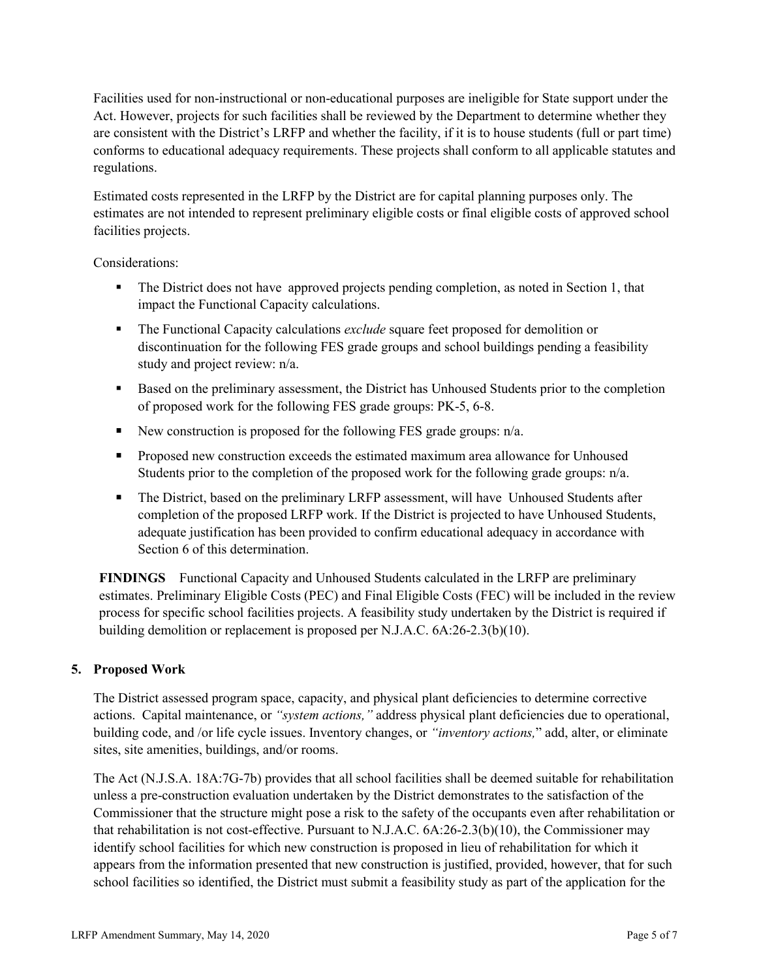Facilities used for non-instructional or non-educational purposes are ineligible for State support under the Act. However, projects for such facilities shall be reviewed by the Department to determine whether they are consistent with the District's LRFP and whether the facility, if it is to house students (full or part time) conforms to educational adequacy requirements. These projects shall conform to all applicable statutes and regulations.

Estimated costs represented in the LRFP by the District are for capital planning purposes only. The estimates are not intended to represent preliminary eligible costs or final eligible costs of approved school facilities projects.

Considerations:

- The District does not have approved projects pending completion, as noted in Section 1, that impact the Functional Capacity calculations.
- The Functional Capacity calculations *exclude* square feet proposed for demolition or discontinuation for the following FES grade groups and school buildings pending a feasibility study and project review: n/a.
- Based on the preliminary assessment, the District has Unhoused Students prior to the completion of proposed work for the following FES grade groups: PK-5, 6-8.
- New construction is proposed for the following FES grade groups:  $n/a$ .
- **Proposed new construction exceeds the estimated maximum area allowance for Unhoused** Students prior to the completion of the proposed work for the following grade groups:  $n/a$ .
- The District, based on the preliminary LRFP assessment, will have Unhoused Students after completion of the proposed LRFP work. If the District is projected to have Unhoused Students, adequate justification has been provided to confirm educational adequacy in accordance with Section 6 of this determination.

**FINDINGS** Functional Capacity and Unhoused Students calculated in the LRFP are preliminary estimates. Preliminary Eligible Costs (PEC) and Final Eligible Costs (FEC) will be included in the review process for specific school facilities projects. A feasibility study undertaken by the District is required if building demolition or replacement is proposed per N.J.A.C. 6A:26-2.3(b)(10).

# **5. Proposed Work**

The District assessed program space, capacity, and physical plant deficiencies to determine corrective actions. Capital maintenance, or *"system actions,"* address physical plant deficiencies due to operational, building code, and /or life cycle issues. Inventory changes, or *"inventory actions,*" add, alter, or eliminate sites, site amenities, buildings, and/or rooms.

The Act (N.J.S.A. 18A:7G-7b) provides that all school facilities shall be deemed suitable for rehabilitation unless a pre-construction evaluation undertaken by the District demonstrates to the satisfaction of the Commissioner that the structure might pose a risk to the safety of the occupants even after rehabilitation or that rehabilitation is not cost-effective. Pursuant to N.J.A.C. 6A:26-2.3(b)(10), the Commissioner may identify school facilities for which new construction is proposed in lieu of rehabilitation for which it appears from the information presented that new construction is justified, provided, however, that for such school facilities so identified, the District must submit a feasibility study as part of the application for the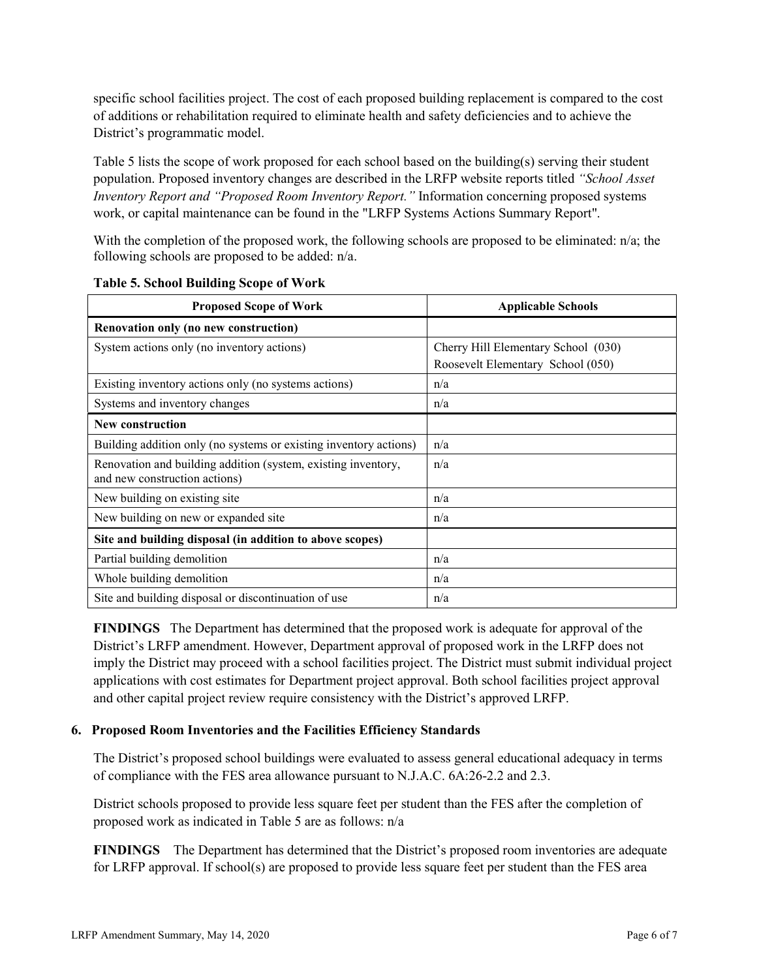specific school facilities project. The cost of each proposed building replacement is compared to the cost of additions or rehabilitation required to eliminate health and safety deficiencies and to achieve the District's programmatic model.

Table 5 lists the scope of work proposed for each school based on the building(s) serving their student population. Proposed inventory changes are described in the LRFP website reports titled *"School Asset Inventory Report and "Proposed Room Inventory Report."* Information concerning proposed systems work, or capital maintenance can be found in the "LRFP Systems Actions Summary Report".

With the completion of the proposed work, the following schools are proposed to be eliminated: n/a; the following schools are proposed to be added: n/a.

| <b>Proposed Scope of Work</b>                                                                  | <b>Applicable Schools</b>           |  |  |
|------------------------------------------------------------------------------------------------|-------------------------------------|--|--|
| Renovation only (no new construction)                                                          |                                     |  |  |
| System actions only (no inventory actions)                                                     | Cherry Hill Elementary School (030) |  |  |
|                                                                                                | Roosevelt Elementary School (050)   |  |  |
| Existing inventory actions only (no systems actions)                                           | n/a                                 |  |  |
| Systems and inventory changes                                                                  | n/a                                 |  |  |
| New construction                                                                               |                                     |  |  |
| Building addition only (no systems or existing inventory actions)                              | n/a                                 |  |  |
| Renovation and building addition (system, existing inventory,<br>and new construction actions) | n/a                                 |  |  |
| New building on existing site                                                                  | n/a                                 |  |  |
| New building on new or expanded site                                                           | n/a                                 |  |  |
| Site and building disposal (in addition to above scopes)                                       |                                     |  |  |
| Partial building demolition                                                                    | n/a                                 |  |  |
| Whole building demolition                                                                      | n/a                                 |  |  |
| Site and building disposal or discontinuation of use                                           | n/a                                 |  |  |

**Table 5. School Building Scope of Work**

**FINDINGS** The Department has determined that the proposed work is adequate for approval of the District's LRFP amendment. However, Department approval of proposed work in the LRFP does not imply the District may proceed with a school facilities project. The District must submit individual project applications with cost estimates for Department project approval. Both school facilities project approval and other capital project review require consistency with the District's approved LRFP.

#### **6. Proposed Room Inventories and the Facilities Efficiency Standards**

The District's proposed school buildings were evaluated to assess general educational adequacy in terms of compliance with the FES area allowance pursuant to N.J.A.C. 6A:26-2.2 and 2.3.

District schools proposed to provide less square feet per student than the FES after the completion of proposed work as indicated in Table 5 are as follows: n/a

**FINDINGS** The Department has determined that the District's proposed room inventories are adequate for LRFP approval. If school(s) are proposed to provide less square feet per student than the FES area